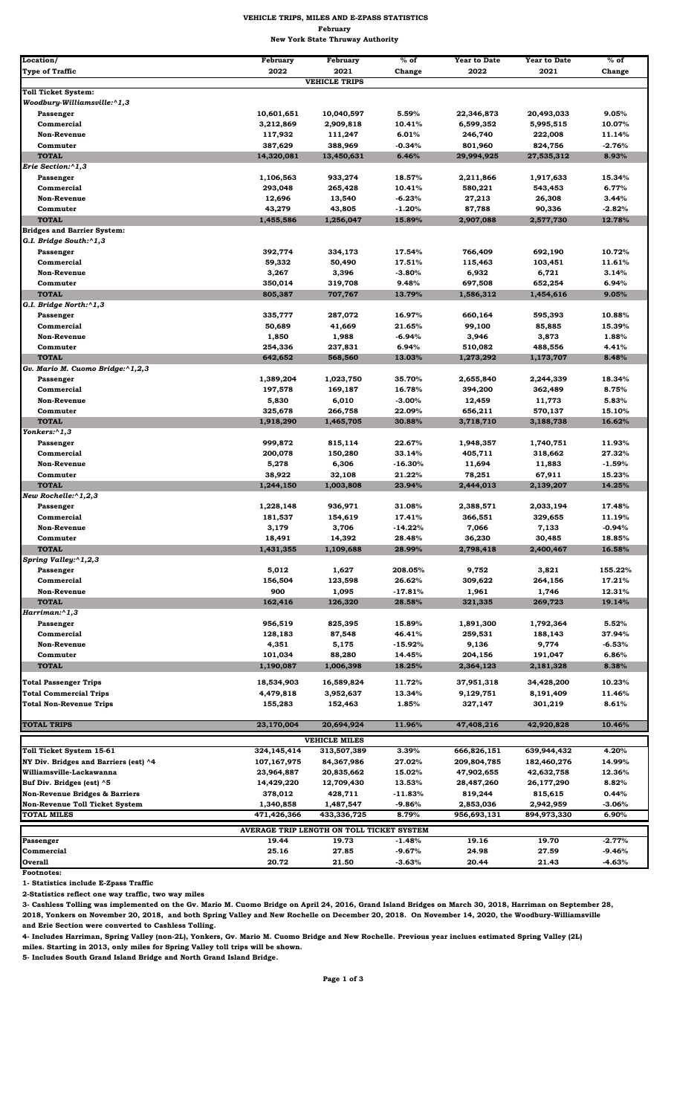| Location/                                     | February           | February             | $%$ of          | <b>Year to Date</b>  | <b>Year to Date</b>  | $%$ of         |  |
|-----------------------------------------------|--------------------|----------------------|-----------------|----------------------|----------------------|----------------|--|
| <b>Type of Traffic</b>                        | 2022               | 2021                 | Change          | 2022                 | 2021                 | Change         |  |
|                                               |                    | <b>VEHICLE TRIPS</b> |                 |                      |                      |                |  |
| <b>Toll Ticket System:</b>                    |                    |                      |                 |                      |                      |                |  |
| Woodbury-Williamsville:^1,3                   |                    |                      |                 |                      |                      |                |  |
| Passenger                                     | 10,601,651         | 10,040,597           | 5.59%           | 22,346,873           | 20,493,033           | 9.05%          |  |
| Commercial                                    | 3,212,869          | 2,909,818            | 10.41%          | 6,599,352            | 5,995,515            | 10.07%         |  |
| <b>Non-Revenue</b>                            | 117,932            | 111,247              | 6.01%           | 246,740              | 222,008              | 11.14%         |  |
| Commuter                                      | 387,629            | 388,969              | -0.34%          | 801,960              | 824,756              | $-2.76%$       |  |
| <b>TOTAL</b><br>Erie Section:^1,3             | 14,320,081         | 13,450,631           | 6.46%           | 29,994,925           | 27,535,312           | 8.93%          |  |
| Passenger                                     | 1,106,563          | 933,274              | 18.57%          | 2,211,866            | 1,917,633            | 15.34%         |  |
| Commercial                                    | 293,048            | 265,428              | 10.41%          | 580,221              | 543,453              | 6.77%          |  |
| <b>Non-Revenue</b>                            | 12,696             | 13,540               | -6.23%          | 27,213               | 26,308               | 3.44%          |  |
| Commuter                                      | 43,279             | 43,805               | $-1.20%$        | 87,788               | 90,336               | $-2.82%$       |  |
| <b>TOTAL</b>                                  | 1,455,586          | 1,256,047            | 15.89%          | 2,907,088            | 2,577,730            | 12.78%         |  |
| <b>Bridges and Barrier System:</b>            |                    |                      |                 |                      |                      |                |  |
| G.I. Bridge South:^1,3                        |                    |                      |                 |                      |                      |                |  |
| Passenger                                     | 392,774            | 334,173              | 17.54%          | 766,409              | 692,190              | 10.72%         |  |
| Commercial                                    | 59,332             | 50,490               | 17.51%          | 115,463              | 103,451              | 11.61%         |  |
| <b>Non-Revenue</b>                            | 3,267              | 3,396                | $-3.80%$        | 6,932                | 6,721                | 3.14%          |  |
| Commuter<br><b>TOTAL</b>                      | 350,014<br>805,387 | 319,708<br>707,767   | 9.48%<br>13.79% | 697,508<br>1,586,312 | 652,254<br>1,454,616 | 6.94%<br>9.05% |  |
| G.I. Bridge North:^1,3                        |                    |                      |                 |                      |                      |                |  |
| Passenger                                     | 335,777            | 287,072              | 16.97%          | 660,164              | 595,393              | 10.88%         |  |
| Commercial                                    | 50,689             | 41,669               | 21.65%          | 99,100               | 85,885               | 15.39%         |  |
| <b>Non-Revenue</b>                            | 1,850              | 1,988                | -6.94%          | 3,946                | 3,873                | 1.88%          |  |
| Commuter                                      | 254,336            | 237,831              | 6.94%           | 510,082              | 488,556              | 4.41%          |  |
| <b>TOTAL</b>                                  | 642,652            | 568,560              | 13.03%          | 1,273,292            | 1,173,707            | 8.48%          |  |
| Gv. Mario M. Cuomo Bridge:^1,2,3              |                    |                      |                 |                      |                      |                |  |
| Passenger                                     | 1,389,204          | 1,023,750            | 35.70%          | 2,655,840            | 2,244,339            | 18.34%         |  |
| Commercial                                    | 197,578            | 169,187              | 16.78%          | 394,200              | 362,489              | 8.75%          |  |
| <b>Non-Revenue</b>                            | 5,830              | 6,010                | -3.00%          | 12,459               | 11,773               | 5.83%          |  |
| Commuter<br><b>TOTAL</b>                      | 325,678            | 266,758              | 22.09%          | 656,211              | 570,137              | 15.10%         |  |
| Yonkers:^1,3                                  | 1,918,290          | 1,465,705            | 30.88%          | 3,718,710            | 3,188,738            | 16.62%         |  |
| Passenger                                     | 999,872            | 815,114              | 22.67%          | 1,948,357            | 1,740,751            | 11.93%         |  |
| Commercial                                    | 200,078            | 150,280              | 33.14%          | 405,711              | 318,662              | 27.32%         |  |
| <b>Non-Revenue</b>                            | 5,278              | 6,306                | $-16.30%$       | 11,694               | 11,883               | $-1.59%$       |  |
| Commuter                                      | 38,922             | 32,108               | 21.22%          | 78,251               | 67,911               | 15.23%         |  |
| <b>TOTAL</b>                                  | 1,244,150          | 1,003,808            | 23.94%          | 2,444,013            | 2,139,207            | 14.25%         |  |
| New Rochelle:^1,2,3                           |                    |                      |                 |                      |                      |                |  |
| Passenger                                     | 1,228,148          | 936,971              | 31.08%          | 2,388,571            | 2,033,194            | 17.48%         |  |
| Commercial                                    | 181,537            | 154,619              | 17.41%          | 366,551              | 329,655              | 11.19%         |  |
| <b>Non-Revenue</b>                            | 3,179              | 3,706                | $-14.22%$       | 7,066                | 7,133                | $-0.94%$       |  |
| Commuter                                      | 18,491             | 14,392               | 28.48%          | 36,230               | 30,485               | 18.85%         |  |
| <b>TOTAL</b><br>Spring Valley: $\sqrt{1,2,3}$ | 1,431,355          | 1,109,688            | 28.99%          | 2,798,418            | 2,400,467            | 16.58%         |  |
| Passenger                                     | 5,012              | 1,627                | 208.05%         | 9,752                | 3,821                | 155.22%        |  |
| Commercial                                    | 156,504            | 123,598              | 26.62%          | 309,622              | 264,156              | 17.21%         |  |
| <b>Non-Revenue</b>                            | 900                | 1,095                | $-17.81%$       | 1,961                | 1,746                | 12.31%         |  |
| <b>TOTAL</b>                                  | 162,416            | 126,320              | 28.58%          | 321,335              | 269,723              | 19.14%         |  |
| $Harriman:^1,3$                               |                    |                      |                 |                      |                      |                |  |
| Passenger                                     | 956,519            | 825,395              | 15.89%          | 1,891,300            | 1,792,364            | 5.52%          |  |
| Commercial                                    | 128,183            | 87,548               | 46.41%          | 259,531              | 188,143              | 37.94%         |  |
| <b>Non-Revenue</b>                            | 4,351              | 5,175                | $-15.92%$       | 9,136                | 9,774                | $-6.53%$       |  |
| Commuter                                      | 101,034            | 88,280               | 14.45%          | 204,156              | 191,047              | 6.86%          |  |
| <b>TOTAL</b>                                  | 1,190,087          | 1,006,398            | 18.25%          | 2,364,123            | 2,181,328            | 8.38%          |  |
| <b>Total Passenger Trips</b>                  | 18,534,903         | 16,589,824           | 11.72%          | 37,951,318           | 34,428,200           | 10.23%         |  |
| <b>Total Commercial Trips</b>                 | 4,479,818          | 3,952,637            | 13.34%          | 9,129,751            | 8,191,409            | 11.46%         |  |
| <b>Total Non-Revenue Trips</b>                | 155,283            | 152,463              | 1.85%           | 327,147              | 301,219              | 8.61%          |  |
|                                               |                    |                      |                 |                      |                      |                |  |
| <b>TOTAL TRIPS</b>                            | 23,170,004         | 20,694,924           | 11.96%          | 47,408,216           | 42,920,828           | 10.46%         |  |
|                                               |                    | <b>VEHICLE MILES</b> |                 |                      |                      |                |  |
| Toll Ticket System 15-61                      | 324, 145, 414      | 313,507,389          | 3.39%           | 666,826,151          | 639,944,432          | 4.20%          |  |
| NY Div. Bridges and Barriers (est) ^4         | 107,167,975        | 84,367,986           | 27.02%          | 209,804,785          | 182,460,276          | 14.99%         |  |
| Williamsville-Lackawanna                      | 23,964,887         | 20,835,662           | 15.02%          | 47,902,655           | 42,632,758           | 12.36%         |  |
| Buf Div. Bridges (est) ^5                     | 14,429,220         | 12,709,430           | 13.53%          | 28,487,260           | 26,177,290           | 8.82%          |  |
| Non-Revenue Bridges & Barriers                | 378,012            | 428,711              | $-11.83%$       | 819,244              | 815,615              | 0.44%          |  |
| Non-Revenue Toll Ticket System                | 1,340,858          | 1,487,547            | $-9.86%$        | 2,853,036            | 2,942,959            | $-3.06%$       |  |
| <b>TOTAL MILES</b>                            | 471,426,366        | 433,336,725          | 8.79%           | 956,693,131          | 894,973,330          | 6.90%          |  |
| AVERAGE TRIP LENGTH ON TOLL TICKET SYSTEM     |                    |                      |                 |                      |                      |                |  |
| Passenger                                     | 19.44              | 19.73                | $-1.48%$        | 19.16                | 19.70                | $-2.77%$       |  |
| Commercial                                    | 25.16              | 27.85                | $-9.67%$        | 24.98                | 27.59                | $-9.46%$       |  |
| <b>Overall</b>                                | 20.72              | 21.50                | $-3.63%$        | 20.44                | 21.43                | $-4.63%$       |  |

**Footnotes:** 

**1- Statistics include E-Zpass Traffic**

**2-Statistics reflect one way traffic, two way miles**

**3- Cashless Tolling was implemented on the Gv. Mario M. Cuomo Bridge on April 24, 2016, Grand Island Bridges on March 30, 2018, Harriman on September 28, 2018, Yonkers on November 20, 2018, and both Spring Valley and New Rochelle on December 20, 2018. On November 14, 2020, the Woodbury-Williamsville and Erie Section were converted to Cashless Tolling.** 

**4- Includes Harriman, Spring Valley (non-2L), Yonkers, Gv. Mario M. Cuomo Bridge and New Rochelle. Previous year inclues estimated Spring Valley (2L) miles. Starting in 2013, only miles for Spring Valley toll trips will be shown.**

**5- Includes South Grand Island Bridge and North Grand Island Bridge.**

**Page 1 of 3** 

## **VEHICLE TRIPS, MILES AND E-ZPASS STATISTICS February New York State Thruway Authority**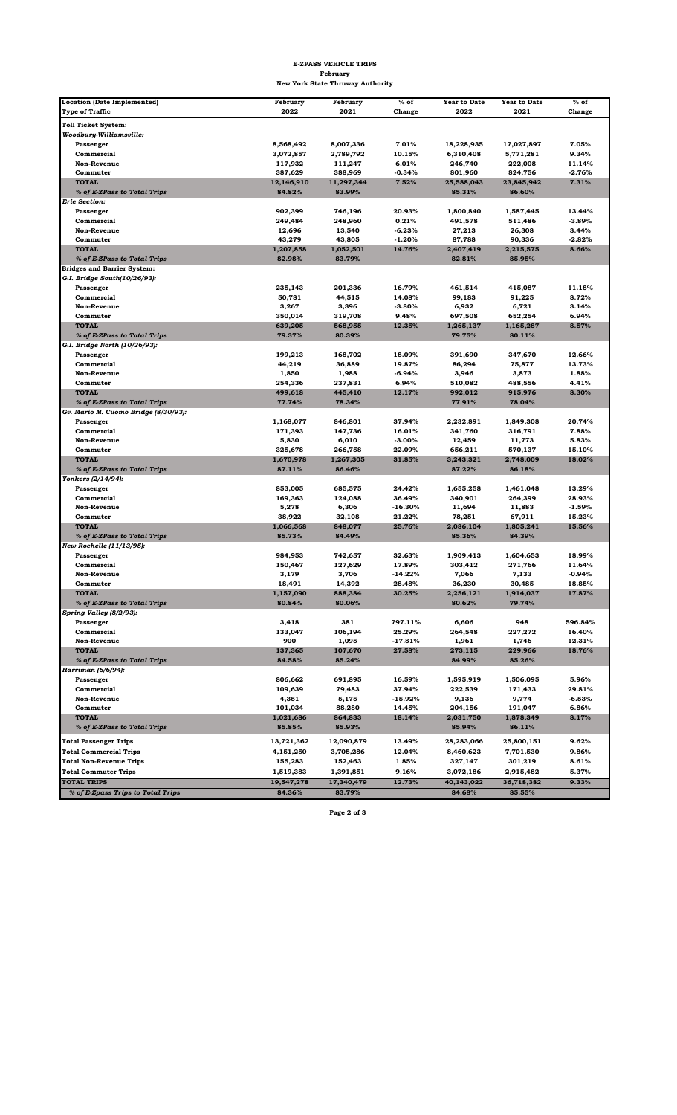| <b>Location (Date Implemented)</b>   | February   | February   | $%$ of     | <b>Year to Date</b> | <b>Year to Date</b> | $%$ of   |
|--------------------------------------|------------|------------|------------|---------------------|---------------------|----------|
| <b>Type of Traffic</b>               | 2022       | 2021       | Change     | 2022                | 2021                | Change   |
| <b>Toll Ticket System:</b>           |            |            |            |                     |                     |          |
| Woodbury-Williamsville:              |            |            |            |                     |                     |          |
| Passenger                            | 8,568,492  | 8,007,336  | 7.01%      | 18,228,935          | 17,027,897          | 7.05%    |
| Commercial                           | 3,072,857  | 2,789,792  | 10.15%     | 6,310,408           | 5,771,281           | 9.34%    |
| <b>Non-Revenue</b>                   | 117,932    | 111,247    | 6.01%      | 246,740             | 222,008             | 11.14%   |
| Commuter                             | 387,629    | 388,969    | $-0.34%$   | 801,960             | 824,756             | $-2.76%$ |
| <b>TOTAL</b>                         | 12,146,910 | 11,297,344 | 7.52%      | 25,588,043          | 23,845,942          | 7.31%    |
| % of E-ZPass to Total Trips          | 84.82%     | 83.99%     |            | 85.31%              | 86.60%              |          |
| <b>Erie Section:</b>                 |            |            |            |                     |                     |          |
| Passenger                            | 902,399    | 746,196    | 20.93%     | 1,800,840           | 1,587,445           | 13.44%   |
| Commercial                           | 249,484    | 248,960    | 0.21%      | 491,578             | 511,486             | $-3.89%$ |
| <b>Non-Revenue</b>                   | 12,696     | 13,540     | $-6.23%$   | 27,213              | 26,308              | 3.44%    |
| Commuter                             | 43,279     | 43,805     | $-1.20%$   | 87,788              | 90,336              | $-2.82%$ |
| <b>TOTAL</b>                         | 1,207,858  | 1,052,501  | 14.76%     | 2,407,419           | 2,215,575           | 8.66%    |
| % of E-ZPass to Total Trips          | 82.98%     | 83.79%     |            | 82.81%              | 85.95%              |          |
| <b>Bridges and Barrier System:</b>   |            |            |            |                     |                     |          |
| G.I. Bridge South(10/26/93):         |            |            |            |                     |                     |          |
| Passenger                            | 235,143    | 201,336    | 16.79%     | 461,514             | 415,087             | 11.18%   |
| Commercial                           | 50,781     | 44,515     | 14.08%     | 99,183              | 91,225              | 8.72%    |
| <b>Non-Revenue</b>                   | 3,267      | 3,396      | $-3.80%$   | 6,932               | 6,721               | 3.14%    |
| Commuter                             | 350,014    | 319,708    | 9.48%      | 697,508             | 652,254             | 6.94%    |
| <b>TOTAL</b>                         | 639,205    | 568,955    | 12.35%     | 1,265,137           | 1,165,287           | 8.57%    |
| % of E-ZPass to Total Trips          | 79.37%     | 80.39%     |            | 79.75%              | 80.11%              |          |
| G.I. Bridge North (10/26/93):        |            |            |            |                     |                     |          |
| Passenger                            | 199,213    | 168,702    | 18.09%     | 391,690             | 347,670             | 12.66%   |
| Commercial                           | 44,219     | 36,889     | 19.87%     | 86,294              | 75,877              | 13.73%   |
| <b>Non-Revenue</b>                   | 1,850      | 1,988      | -6.94%     | 3,946               | 3,873               | 1.88%    |
| Commuter                             | 254,336    | 237,831    | 6.94%      | 510,082             | 488,556             | 4.41%    |
| <b>TOTAL</b>                         | 499,618    | 445,410    | 12.17%     | 992,012             | 915,976             | 8.30%    |
| % of E-ZPass to Total Trips          | 77.74%     | 78.34%     |            | 77.91%              | 78.04%              |          |
| Gv. Mario M. Cuomo Bridge (8/30/93): |            |            |            |                     |                     |          |
| Passenger                            | 1,168,077  | 846,801    | 37.94%     | 2,232,891           | 1,849,308           | 20.74%   |
| Commercial                           | 171,393    | 147,736    | 16.01%     | 341,760             | 316,791             | 7.88%    |
| <b>Non-Revenue</b>                   | 5,830      | 6,010      | $-3.00%$   | 12,459              | 11,773              | 5.83%    |
| Commuter                             | 325,678    | 266,758    | 22.09%     | 656,211             | 570,137             | 15.10%   |
| <b>TOTAL</b>                         | 1,670,978  | 1,267,305  | 31.85%     | 3,243,321           | 2,748,009           | 18.02%   |
| % of E-ZPass to Total Trips          | 87.11%     | 86.46%     |            | 87.22%              | 86.18%              |          |
| Yonkers (2/14/94):                   |            |            |            |                     |                     |          |
| Passenger                            | 853,005    | 685,575    | 24.42%     | 1,655,258           | 1,461,048           | 13.29%   |
| Commercial                           | 169,363    | 124,088    | 36.49%     | 340,901             | 264,399             | 28.93%   |
| <b>Non-Revenue</b>                   | 5,278      | 6,306      | $-16.30%$  | 11,694              | 11,883              | $-1.59%$ |
| Commuter                             | 38,922     | 32,108     | 21.22%     | 78,251              | 67,911              | 15.23%   |
| <b>TOTAL</b>                         | 1,066,568  | 848,077    | 25.76%     | 2,086,104           | 1,805,241           | 15.56%   |
| % of E-ZPass to Total Trips          | 85.73%     | 84.49%     |            | 85.36%              | 84.39%              |          |
| New Rochelle (11/13/95):             |            |            |            |                     |                     |          |
| Passenger                            | 984,953    | 742,657    | 32.63%     | 1,909,413           | 1,604,653           | 18.99%   |
| Commercial                           | 150,467    | 127,629    | 17.89%     | 303,412             | 271,766             | 11.64%   |
| <b>Non-Revenue</b>                   | 3,179      | 3,706      | $-14.22%$  | 7,066               | 7,133               | $-0.94%$ |
| Commuter                             | 18,491     | 14,392     | 28.48%     | 36,230              | 30,485              | 18.85%   |
| <b>TOTAL</b>                         | 1,157,090  | 888,384    | 30.25%     | 2,256,121           | 1,914,037           | 17.87%   |
| % of E-ZPass to Total Trips          | 80.84%     | 80.06%     |            | 80.62%              | 79.74%              |          |
| Spring Valley (8/2/93):              |            |            |            |                     |                     |          |
| Passenger                            | 3,418      | 381        | 797.11%    | 6,606               | 948                 | 596.84%  |
| Commercial                           | 133,047    | 106,194    | 25.29%     | 264,548             | 227,272             | 16.40%   |
| <b>Non-Revenue</b>                   | 900        | 1,095      | $-17.81%$  | 1,961               | 1,746               | 12.31%   |
| <b>TOTAL</b>                         | 137,365    | 107,670    | 27.58%     | 273,115             | 229,966             | 18.76%   |
| % of E-ZPass to Total Trips          | 84.58%     | 85.24%     |            | 84.99%              | 85.26%              |          |
| Harriman (6/6/94):                   |            |            |            |                     |                     |          |
| Passenger                            | 806,662    | 691,895    | 16.59%     | 1,595,919           | 1,506,095           | 5.96%    |
| Commercial                           | 109,639    | 79,483     | 37.94%     | 222,539             | 171,433             | 29.81%   |
| <b>Non-Revenue</b>                   | 4,351      | 5,175      | $-15.92\%$ | 9,136               | 9,774               | $-6.53%$ |
| Commuter                             | 101,034    | 88,280     | 14.45%     | 204,156             | 191,047             | 6.86%    |
| <b>TOTAL</b>                         | 1,021,686  | 864,833    | 18.14%     | 2,031,750           | 1,878,349           | 8.17%    |
| % of E-ZPass to Total Trips          | 85.85%     | 85.93%     |            | 85.94%              | 86.11%              |          |
|                                      |            |            |            |                     |                     |          |
| <b>Total Passenger Trips</b>         | 13,721,362 | 12,090,879 | 13.49%     | 28,283,066          | 25,800,151          | 9.62%    |
| <b>Total Commercial Trips</b>        | 4,151,250  | 3,705,286  | 12.04%     | 8,460,623           | 7,701,530           | 9.86%    |
| <b>Total Non-Revenue Trips</b>       | 155,283    | 152,463    | 1.85%      | 327,147             | 301,219             | 8.61%    |
| <b>Total Commuter Trips</b>          | 1,519,383  | 1,391,851  | 9.16%      | 3,072,186           | 2,915,482           | 5.37%    |
| <b>TOTAL TRIPS</b>                   | 19,547,278 | 17,340,479 | 12.73%     | 40,143,022          | 36,718,382          | 9.33%    |
| % of E-Zpass Trips to Total Trips    | 84.36%     | 83.79%     |            | 84.68%              | 85.55%              |          |

**Page 2 of 3** 

## **E-ZPASS VEHICLE TRIPS February New York State Thruway Authority**